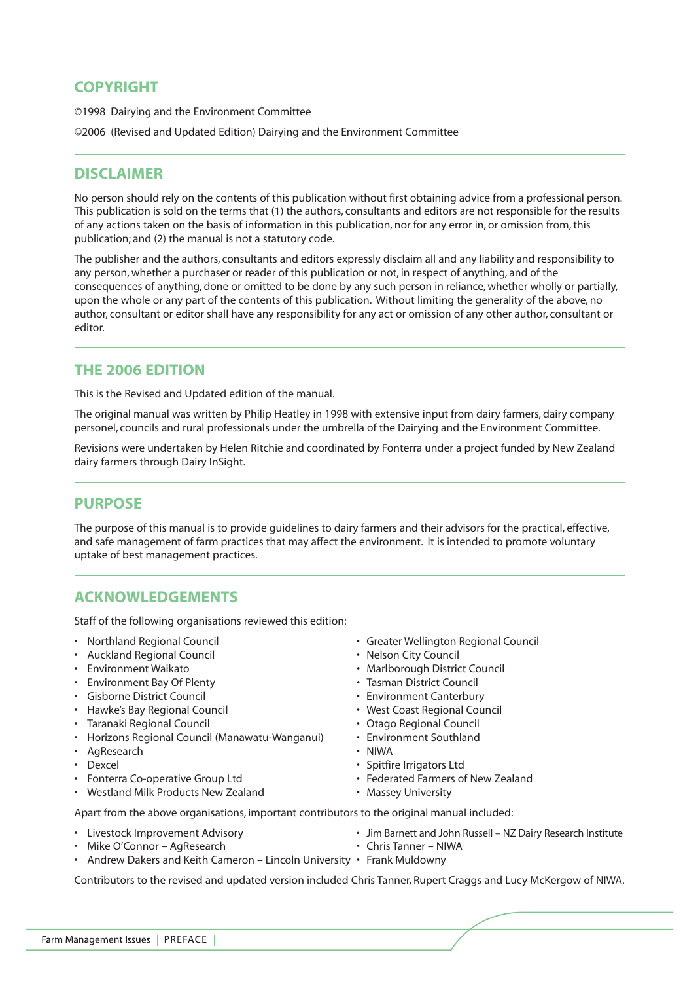# **COPYRIGHT**

©1998 Dairying and the Environment Committee

©2006 (Revised and Updated Edition) Dairying and the Environment Committee

# **DISCLAIMER**

No person should rely on the contents of this publication without first obtaining advice from a professional person. This publication is sold on the terms that (1) the authors, consultants and editors are not responsible for the results of any actions taken on the basis of information in this publication, nor for any error in, or omission from, this publication; and (2) the manual is not a statutory code.

The publisher and the authors, consultants and editors expressly disclaim all and any liability and responsibility to any person, whether a purchaser or reader of this publication or not, in respect of anything, and of the consequences of anything, done or omitted to be done by any such person in reliance, whether wholly or partially, upon the whole or any part of the contents of this publication. Without limiting the generality of the above, no author, consultant or editor shall have any responsibility for any act or omission of any other author, consultant or editor.

# **THE 2006 EDITION**

This is the Revised and Updated edition of the manual.

The original manual was written by Philip Heatley in 1998 with extensive input from dairy farmers, dairy company personel, councils and rural professionals under the umbrella of the Dairying and the Environment Committee.

Revisions were undertaken by Helen Ritchie and coordinated by Fonterra under a project funded by New Zealand dairy farmers through Dairy InSight.

# **PURPOSE**

The purpose of this manual is to provide guidelines to dairy farmers and their advisors for the practical, effective, and safe management of farm practices that may affect the environment. It is intended to promote voluntary uptake of best management practices.

# **ACKNOWLEDGEMENTS**

Staff of the following organisations reviewed this edition:

- 
- Auckland Regional Council
- 
- Environment Bay Of Plenty  **Tasman District Council**
- Gisborne District Council Environment Canterbury
- Hawke's Bay Regional Council  **Communist Coast Regional Council** West Coast Regional Council
- Taranaki Regional Council Otago Regional Council
- Horizons Regional Council (Manawatu-Wanganui) Environment Southland
- AgResearch NIWA
- 
- 
- Westland Milk Products New Zealand Massey University
- Northland Regional Council Greater Wellington Regional Council
	-
- Environment Waikato Marlborough District Council
	-
	-
	-
	-
	-
	-
	- Spitfire Irrigators Ltd
- Fonterra Co-operative Group Ltd  **Federated Farmers of New Zealand** 
	-

Apart from the above organisations, important contributors to the original manual included:

- 
- Mike O'Connor AgResearch Chris Tanner NIWA
- Livestock Improvement Advisory Jim Barnett and John Russell NZ Dairy Research Institute
	-
- Andrew Dakers and Keith Cameron Lincoln University Frank Muldowny

Contributors to the revised and updated version included Chris Tanner, Rupert Craggs and Lucy McKergow of NIWA.

Farm Management Issues | PREFACE |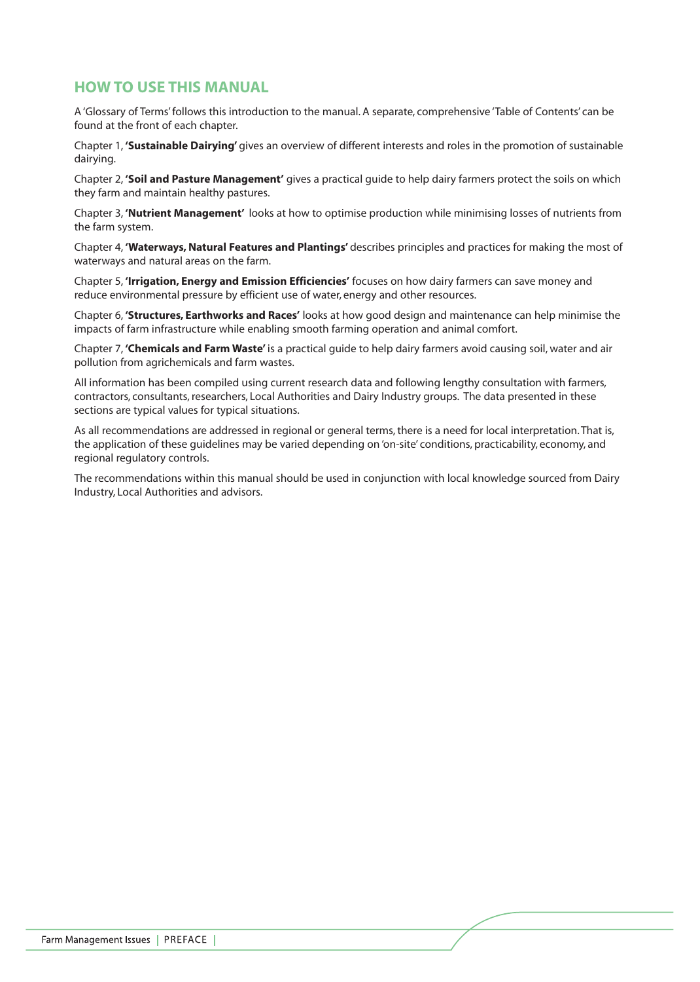# **HOW TO USE THIS MANUAL**

A 'Glossary of Terms' follows this introduction to the manual. A separate, comprehensive 'Table of Contents' can be found at the front of each chapter.

Chapter 1, **'Sustainable Dairying'** gives an overview of different interests and roles in the promotion of sustainable dairying.

Chapter 2, **'Soil and Pasture Management'** gives a practical guide to help dairy farmers protect the soils on which they farm and maintain healthy pastures.

Chapter 3, **'Nutrient Management'** looks at how to optimise production while minimising losses of nutrients from the farm system.

Chapter 4, **'Waterways, Natural Features and Plantings'** describes principles and practices for making the most of waterways and natural areas on the farm.

Chapter 5, **'Irrigation, Energy and Emission Efficiencies'** focuses on how dairy farmers can save money and reduce environmental pressure by efficient use of water, energy and other resources.

Chapter 6, **'Structures, Earthworks and Races'** looks at how good design and maintenance can help minimise the impacts of farm infrastructure while enabling smooth farming operation and animal comfort.

Chapter 7, **'Chemicals and Farm Waste'** is a practical guide to help dairy farmers avoid causing soil, water and air pollution from agrichemicals and farm wastes.

All information has been compiled using current research data and following lengthy consultation with farmers, contractors, consultants, researchers, Local Authorities and Dairy Industry groups. The data presented in these sections are typical values for typical situations.

As all recommendations are addressed in regional or general terms, there is a need for local interpretation. That is, the application of these guidelines may be varied depending on 'on-site' conditions, practicability, economy, and regional regulatory controls.

The recommendations within this manual should be used in conjunction with local knowledge sourced from Dairy Industry, Local Authorities and advisors.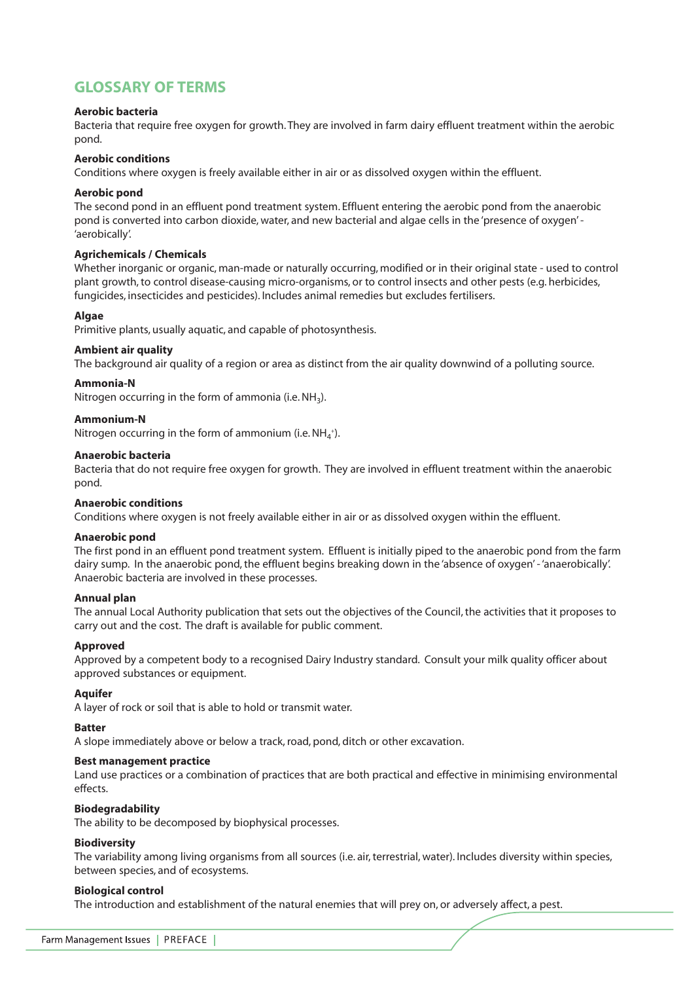# **GLOSSARY OF TERMS**

# **Aerobic bacteria**

Bacteria that require free oxygen for growth. They are involved in farm dairy effluent treatment within the aerobic pond.

## **Aerobic conditions**

Conditions where oxygen is freely available either in air or as dissolved oxygen within the effluent.

# **Aerobic pond**

The second pond in an effluent pond treatment system. Effluent entering the aerobic pond from the anaerobic pond is converted into carbon dioxide, water, and new bacterial and algae cells in the 'presence of oxygen' - 'aerobically'.

# **Agrichemicals / Chemicals**

Whether inorganic or organic, man-made or naturally occurring, modified or in their original state - used to control plant growth, to control disease-causing micro-organisms, or to control insects and other pests (e.g. herbicides, fungicides, insecticides and pesticides). Includes animal remedies but excludes fertilisers.

# **Algae**

Primitive plants, usually aquatic, and capable of photosynthesis.

# **Ambient air quality**

The background air quality of a region or area as distinct from the air quality downwind of a polluting source.

# **Ammonia-N**

Nitrogen occurring in the form of ammonia (i.e.  $NH<sub>3</sub>$ ).

# **Ammonium-N**

Nitrogen occurring in the form of ammonium (i.e.  $NH_4^+$ ).

## **Anaerobic bacteria**

Bacteria that do not require free oxygen for growth. They are involved in effluent treatment within the anaerobic pond.

## **Anaerobic conditions**

Conditions where oxygen is not freely available either in air or as dissolved oxygen within the effluent.

## **Anaerobic pond**

The first pond in an effluent pond treatment system. Effluent is initially piped to the anaerobic pond from the farm dairy sump. In the anaerobic pond, the effluent begins breaking down in the 'absence of oxygen' - 'anaerobically'. Anaerobic bacteria are involved in these processes.

## **Annual plan**

The annual Local Authority publication that sets out the objectives of the Council, the activities that it proposes to carry out and the cost. The draft is available for public comment.

# **Approved**

Approved by a competent body to a recognised Dairy Industry standard. Consult your milk quality officer about approved substances or equipment.

## **Aquifer**

A layer of rock or soil that is able to hold or transmit water.

# **Batter**

A slope immediately above or below a track, road, pond, ditch or other excavation.

## **Best management practice**

Land use practices or a combination of practices that are both practical and effective in minimising environmental effects.

## **Biodegradability**

The ability to be decomposed by biophysical processes.

## **Biodiversity**

The variability among living organisms from all sources (i.e. air, terrestrial, water). Includes diversity within species, between species, and of ecosystems.

## **Biological control**

The introduction and establishment of the natural enemies that will prey on, or adversely affect, a pest.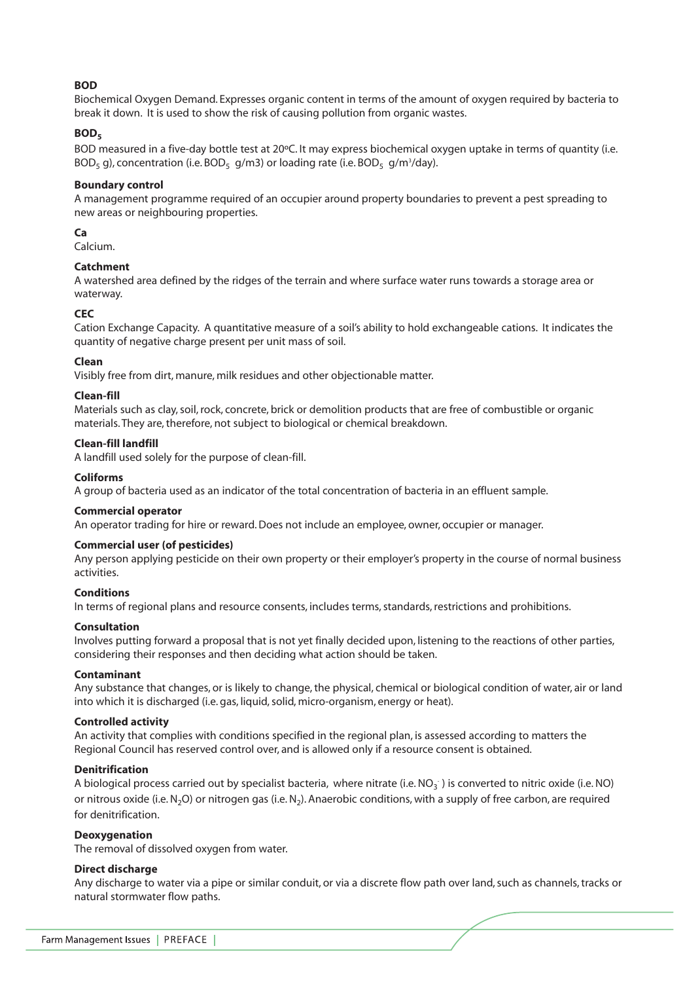# **BOD**

Biochemical Oxygen Demand. Expresses organic content in terms of the amount of oxygen required by bacteria to break it down. It is used to show the risk of causing pollution from organic wastes.

## BOD<sub>5</sub>

BOD measured in a five-day bottle test at 20ºC. It may express biochemical oxygen uptake in terms of quantity (i.e. BOD<sub>5</sub> g), concentration (i.e. BOD<sub>5</sub> g/m3) or loading rate (i.e. BOD<sub>5</sub> g/m<sup>3</sup>/day).

## **Boundary control**

A management programme required of an occupier around property boundaries to prevent a pest spreading to new areas or neighbouring properties.

# **Ca**

Calcium.

# **Catchment**

A watershed area defined by the ridges of the terrain and where surface water runs towards a storage area or waterway.

## **CEC**

Cation Exchange Capacity. A quantitative measure of a soil's ability to hold exchangeable cations. It indicates the quantity of negative charge present per unit mass of soil.

#### **Clean**

Visibly free from dirt, manure, milk residues and other objectionable matter.

## **Clean-fill**

Materials such as clay, soil, rock, concrete, brick or demolition products that are free of combustible or organic materials. They are, therefore, not subject to biological or chemical breakdown.

#### **Clean-fill landfill**

A landfill used solely for the purpose of clean-fill.

#### **Coliforms**

A group of bacteria used as an indicator of the total concentration of bacteria in an effluent sample.

## **Commercial operator**

An operator trading for hire or reward. Does not include an employee, owner, occupier or manager.

## **Commercial user (of pesticides)**

Any person applying pesticide on their own property or their employer's property in the course of normal business activities.

#### **Conditions**

In terms of regional plans and resource consents, includes terms, standards, restrictions and prohibitions.

#### **Consultation**

Involves putting forward a proposal that is not yet finally decided upon, listening to the reactions of other parties, considering their responses and then deciding what action should be taken.

#### **Contaminant**

Any substance that changes, or is likely to change, the physical, chemical or biological condition of water, air or land into which it is discharged (i.e. gas, liquid, solid, micro-organism, energy or heat).

#### **Controlled activity**

An activity that complies with conditions specified in the regional plan, is assessed according to matters the Regional Council has reserved control over, and is allowed only if a resource consent is obtained.

#### **Denitrification**

A biological process carried out by specialist bacteria, where nitrate (i.e. NO<sub>3</sub>) is converted to nitric oxide (i.e. NO) or nitrous oxide (i.e. N<sub>2</sub>O) or nitrogen gas (i.e. N<sub>2</sub>). Anaerobic conditions, with a supply of free carbon, are required for denitrification.

#### **Deoxygenation**

The removal of dissolved oxygen from water.

## **Direct discharge**

Any discharge to water via a pipe or similar conduit, or via a discrete flow path over land, such as channels, tracks or natural stormwater flow paths.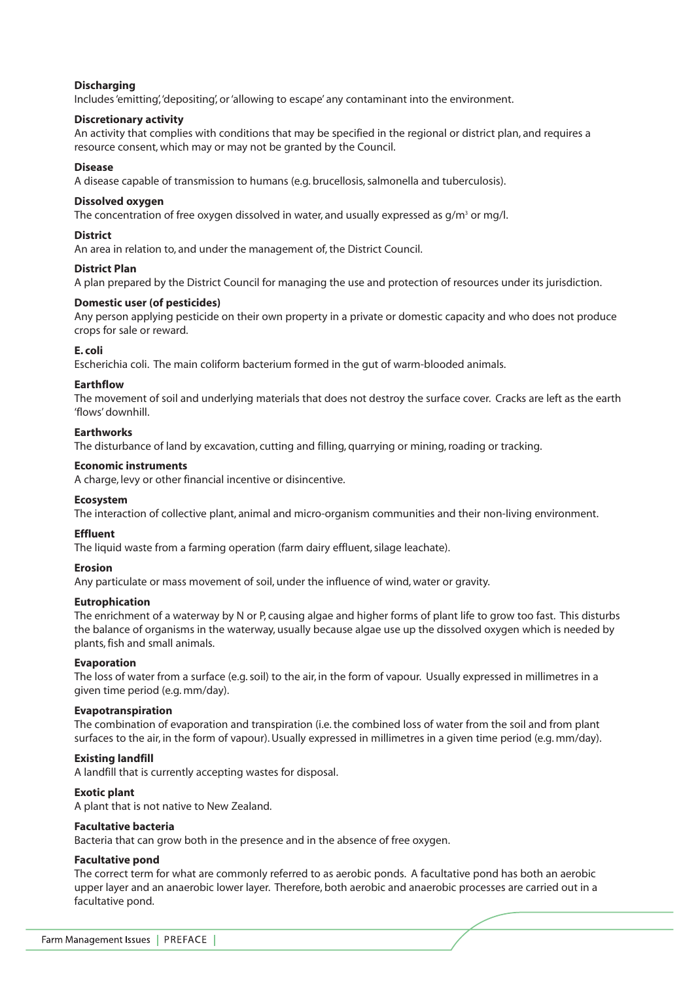## **Discharging**

Includes 'emitting','depositing', or 'allowing to escape' any contaminant into the environment.

## **Discretionary activity**

An activity that complies with conditions that may be specified in the regional or district plan, and requires a resource consent, which may or may not be granted by the Council.

## **Disease**

A disease capable of transmission to humans (e.g. brucellosis, salmonella and tuberculosis).

# **Dissolved oxygen**

The concentration of free oxygen dissolved in water, and usually expressed as  $q/m^3$  or mg/l.

# **District**

An area in relation to, and under the management of, the District Council.

# **District Plan**

A plan prepared by the District Council for managing the use and protection of resources under its jurisdiction.

# **Domestic user (of pesticides)**

Any person applying pesticide on their own property in a private or domestic capacity and who does not produce crops for sale or reward.

# **E. coli**

Escherichia coli. The main coliform bacterium formed in the gut of warm-blooded animals.

# **Earthflow**

The movement of soil and underlying materials that does not destroy the surface cover. Cracks are left as the earth 'flows' downhill.

# **Earthworks**

The disturbance of land by excavation, cutting and filling, quarrying or mining, roading or tracking.

# **Economic instruments**

A charge, levy or other financial incentive or disincentive.

# **Ecosystem**

The interaction of collective plant, animal and micro-organism communities and their non-living environment.

# **Effluent**

The liquid waste from a farming operation (farm dairy effluent, silage leachate).

## **Erosion**

Any particulate or mass movement of soil, under the influence of wind, water or gravity.

# **Eutrophication**

The enrichment of a waterway by N or P, causing algae and higher forms of plant life to grow too fast. This disturbs the balance of organisms in the waterway, usually because algae use up the dissolved oxygen which is needed by plants, fish and small animals.

# **Evaporation**

The loss of water from a surface (e.g. soil) to the air, in the form of vapour. Usually expressed in millimetres in a given time period (e.g. mm/day).

## **Evapotranspiration**

The combination of evaporation and transpiration (i.e. the combined loss of water from the soil and from plant surfaces to the air, in the form of vapour). Usually expressed in millimetres in a given time period (e.g. mm/day).

# **Existing landfill**

A landfill that is currently accepting wastes for disposal.

## **Exotic plant**

A plant that is not native to New Zealand.

## **Facultative bacteria**

Bacteria that can grow both in the presence and in the absence of free oxygen.

## **Facultative pond**

The correct term for what are commonly referred to as aerobic ponds. A facultative pond has both an aerobic upper layer and an anaerobic lower layer. Therefore, both aerobic and anaerobic processes are carried out in a facultative pond.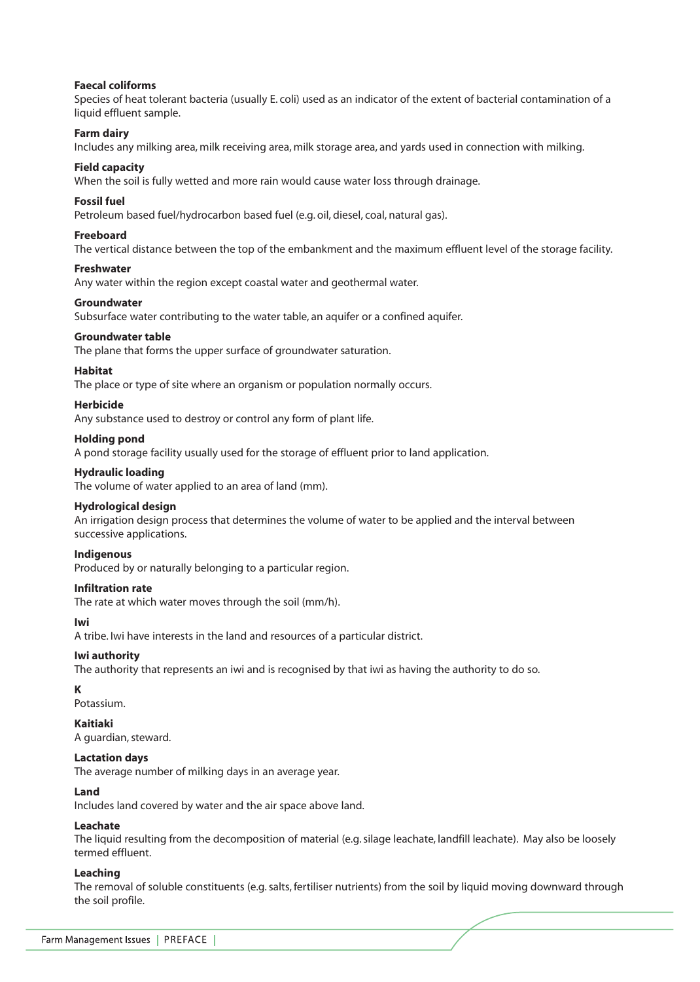#### **Faecal coliforms**

Species of heat tolerant bacteria (usually E. coli) used as an indicator of the extent of bacterial contamination of a liquid effluent sample.

#### **Farm dairy**

Includes any milking area, milk receiving area, milk storage area, and yards used in connection with milking.

#### **Field capacity**

When the soil is fully wetted and more rain would cause water loss through drainage.

#### **Fossil fuel**

Petroleum based fuel/hydrocarbon based fuel (e.g. oil, diesel, coal, natural gas).

#### **Freeboard**

The vertical distance between the top of the embankment and the maximum effluent level of the storage facility.

#### **Freshwater**

Any water within the region except coastal water and geothermal water.

#### **Groundwater**

Subsurface water contributing to the water table, an aquifer or a confined aquifer.

#### **Groundwater table**

The plane that forms the upper surface of groundwater saturation.

## **Habitat**

The place or type of site where an organism or population normally occurs.

#### **Herbicide**

Any substance used to destroy or control any form of plant life.

#### **Holding pond**

A pond storage facility usually used for the storage of effluent prior to land application.

#### **Hydraulic loading**

The volume of water applied to an area of land (mm).

#### **Hydrological design**

An irrigation design process that determines the volume of water to be applied and the interval between successive applications.

#### **Indigenous**

Produced by or naturally belonging to a particular region.

#### **Infiltration rate**

The rate at which water moves through the soil (mm/h).

#### **Iwi**

A tribe. Iwi have interests in the land and resources of a particular district.

## **Iwi authority**

The authority that represents an iwi and is recognised by that iwi as having the authority to do so.

#### **K**

Potassium.

#### **Kaitiaki**

A guardian, steward.

#### **Lactation days**

The average number of milking days in an average year.

#### **Land**

Includes land covered by water and the air space above land.

## **Leachate**

The liquid resulting from the decomposition of material (e.g. silage leachate, landfill leachate). May also be loosely termed effluent.

## **Leaching**

The removal of soluble constituents (e.g. salts, fertiliser nutrients) from the soil by liquid moving downward through the soil profile.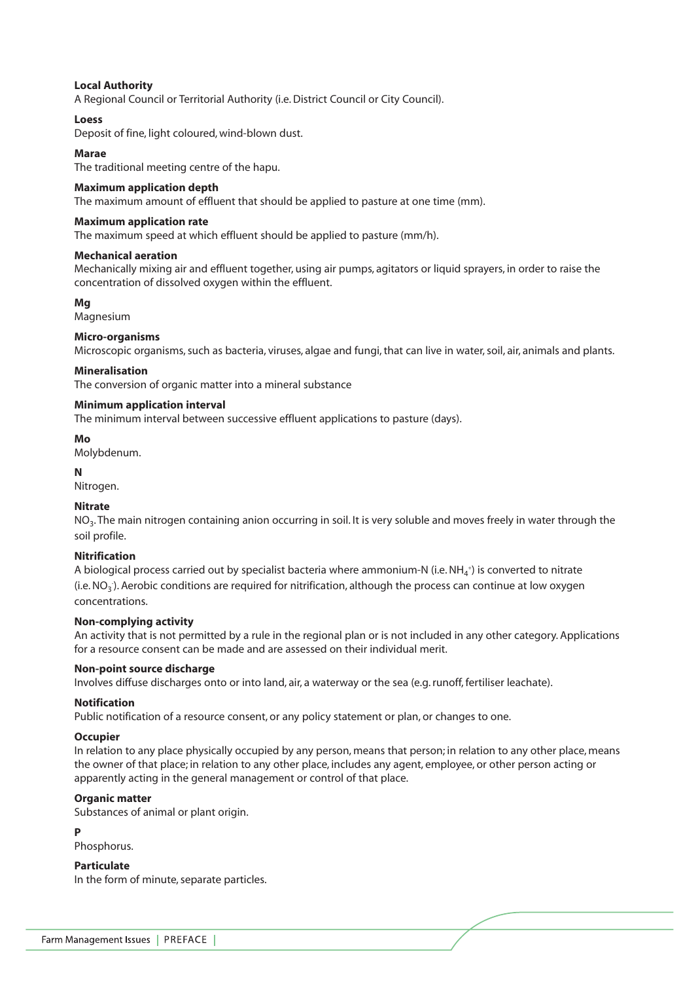# **Local Authority**

A Regional Council or Territorial Authority (i.e. District Council or City Council).

## **Loess**

Deposit of fine, light coloured, wind-blown dust.

## **Marae**

The traditional meeting centre of the hapu.

#### **Maximum application depth**

The maximum amount of effluent that should be applied to pasture at one time (mm).

#### **Maximum application rate**

The maximum speed at which effluent should be applied to pasture (mm/h).

#### **Mechanical aeration**

Mechanically mixing air and effluent together, using air pumps, agitators or liquid sprayers, in order to raise the concentration of dissolved oxygen within the effluent.

## **Mg**

Magnesium

#### **Micro-organisms**

Microscopic organisms, such as bacteria, viruses, algae and fungi, that can live in water, soil, air, animals and plants.

#### **Mineralisation**

The conversion of organic matter into a mineral substance

#### **Minimum application interval**

The minimum interval between successive effluent applications to pasture (days).

#### **Mo**

Molybdenum.

#### **N**

Nitrogen.

## **Nitrate**

NO3. The main nitrogen containing anion occurring in soil. It is very soluble and moves freely in water through the soil profile.

## **Nitrification**

A biological process carried out by specialist bacteria where ammonium-N (i.e. NH<sub>4</sub>+) is converted to nitrate (i.e. NO<sub>3</sub>). Aerobic conditions are required for nitrification, although the process can continue at low oxygen concentrations.

## **Non-complying activity**

An activity that is not permitted by a rule in the regional plan or is not included in any other category. Applications for a resource consent can be made and are assessed on their individual merit.

#### **Non-point source discharge**

Involves diffuse discharges onto or into land, air, a waterway or the sea (e.g. runoff, fertiliser leachate).

## **Notification**

Public notification of a resource consent, or any policy statement or plan, or changes to one.

#### **Occupier**

In relation to any place physically occupied by any person, means that person; in relation to any other place, means the owner of that place; in relation to any other place, includes any agent, employee, or other person acting or apparently acting in the general management or control of that place.

#### **Organic matter**

Substances of animal or plant origin.

#### **P**

Phosphorus.

## **Particulate**

In the form of minute, separate particles.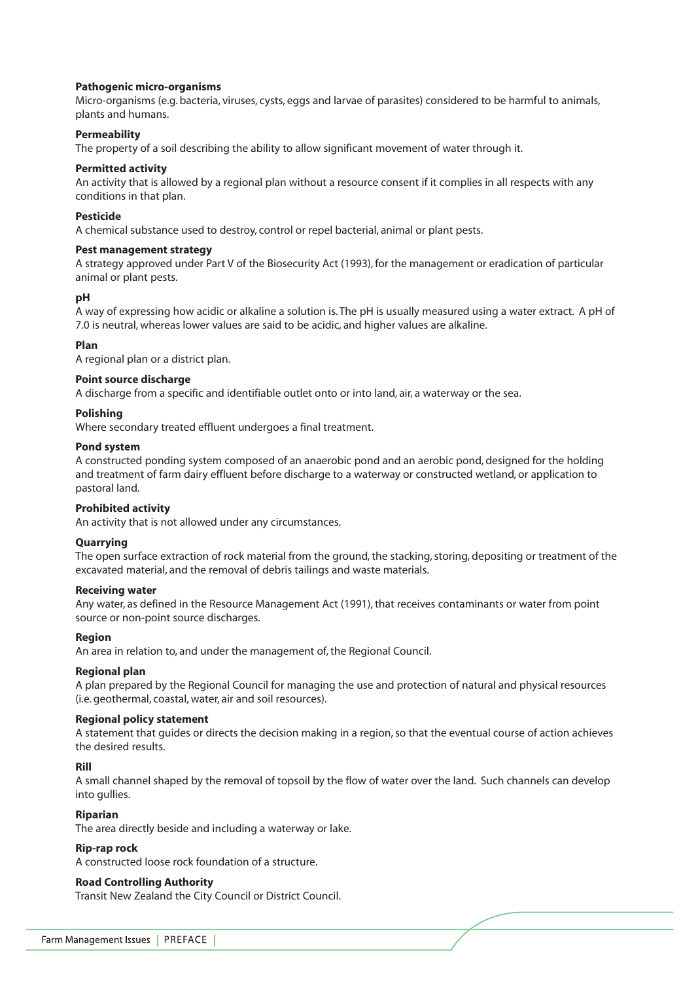## **Pathogenic micro-organisms**

Micro-organisms (e.g. bacteria, viruses, cysts, eggs and larvae of parasites) considered to be harmful to animals, plants and humans.

## **Permeability**

The property of a soil describing the ability to allow significant movement of water through it.

## **Permitted activity**

An activity that is allowed by a regional plan without a resource consent if it complies in all respects with any conditions in that plan.

## **Pesticide**

A chemical substance used to destroy, control or repel bacterial, animal or plant pests.

## **Pest management strategy**

A strategy approved under Part V of the Biosecurity Act (1993), for the management or eradication of particular animal or plant pests.

# **pH**

A way of expressing how acidic or alkaline a solution is. The pH is usually measured using a water extract. A pH of 7.0 is neutral, whereas lower values are said to be acidic, and higher values are alkaline.

# **Plan**

A regional plan or a district plan.

## **Point source discharge**

A discharge from a specific and identifiable outlet onto or into land, air, a waterway or the sea.

## **Polishing**

Where secondary treated effluent undergoes a final treatment.

#### **Pond system**

A constructed ponding system composed of an anaerobic pond and an aerobic pond, designed for the holding and treatment of farm dairy effluent before discharge to a waterway or constructed wetland, or application to pastoral land.

## **Prohibited activity**

An activity that is not allowed under any circumstances.

## **Quarrying**

The open surface extraction of rock material from the ground, the stacking, storing, depositing or treatment of the excavated material, and the removal of debris tailings and waste materials.

#### **Receiving water**

Any water, as defined in the Resource Management Act (1991), that receives contaminants or water from point source or non-point source discharges.

## **Region**

An area in relation to, and under the management of, the Regional Council.

## **Regional plan**

A plan prepared by the Regional Council for managing the use and protection of natural and physical resources (i.e. geothermal, coastal, water, air and soil resources).

## **Regional policy statement**

A statement that guides or directs the decision making in a region, so that the eventual course of action achieves the desired results.

## **Rill**

A small channel shaped by the removal of topsoil by the flow of water over the land. Such channels can develop into gullies.

## **Riparian**

The area directly beside and including a waterway or lake.

## **Rip-rap rock**

A constructed loose rock foundation of a structure.

## **Road Controlling Authority**

Transit New Zealand the City Council or District Council.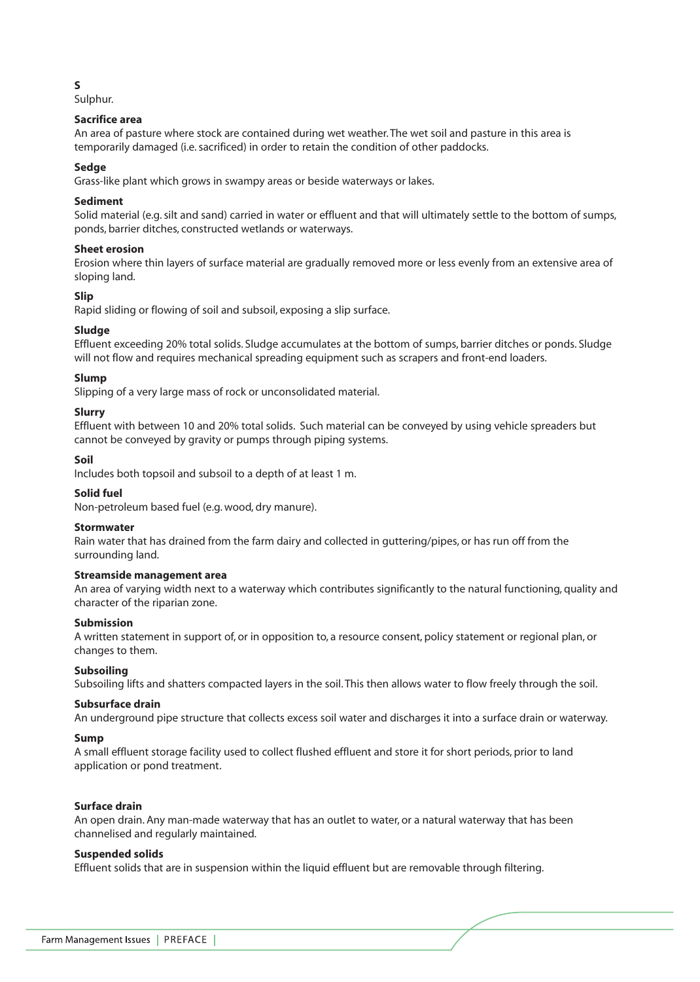## **S**

Sulphur.

# **Sacrifice area**

An area of pasture where stock are contained during wet weather. The wet soil and pasture in this area is temporarily damaged (i.e. sacrificed) in order to retain the condition of other paddocks.

## **Sedge**

Grass-like plant which grows in swampy areas or beside waterways or lakes.

## **Sediment**

Solid material (e.g. silt and sand) carried in water or effluent and that will ultimately settle to the bottom of sumps, ponds, barrier ditches, constructed wetlands or waterways.

# **Sheet erosion**

Erosion where thin layers of surface material are gradually removed more or less evenly from an extensive area of sloping land.

# **Slip**

Rapid sliding or flowing of soil and subsoil, exposing a slip surface.

# **Sludge**

Effluent exceeding 20% total solids. Sludge accumulates at the bottom of sumps, barrier ditches or ponds. Sludge will not flow and requires mechanical spreading equipment such as scrapers and front-end loaders.

# **Slump**

Slipping of a very large mass of rock or unconsolidated material.

# **Slurry**

Effluent with between 10 and 20% total solids. Such material can be conveyed by using vehicle spreaders but cannot be conveyed by gravity or pumps through piping systems.

## **Soil**

Includes both topsoil and subsoil to a depth of at least 1 m.

## **Solid fuel**

Non-petroleum based fuel (e.g. wood, dry manure).

## **Stormwater**

Rain water that has drained from the farm dairy and collected in guttering/pipes, or has run off from the surrounding land.

## **Streamside management area**

An area of varying width next to a waterway which contributes significantly to the natural functioning, quality and character of the riparian zone.

## **Submission**

A written statement in support of, or in opposition to, a resource consent, policy statement or regional plan, or changes to them.

## **Subsoiling**

Subsoiling lifts and shatters compacted layers in the soil. This then allows water to flow freely through the soil.

## **Subsurface drain**

An underground pipe structure that collects excess soil water and discharges it into a surface drain or waterway.

## **Sump**

A small effluent storage facility used to collect flushed effluent and store it for short periods, prior to land application or pond treatment.

## **Surface drain**

An open drain. Any man-made waterway that has an outlet to water, or a natural waterway that has been channelised and regularly maintained.

## **Suspended solids**

Effluent solids that are in suspension within the liquid effluent but are removable through filtering.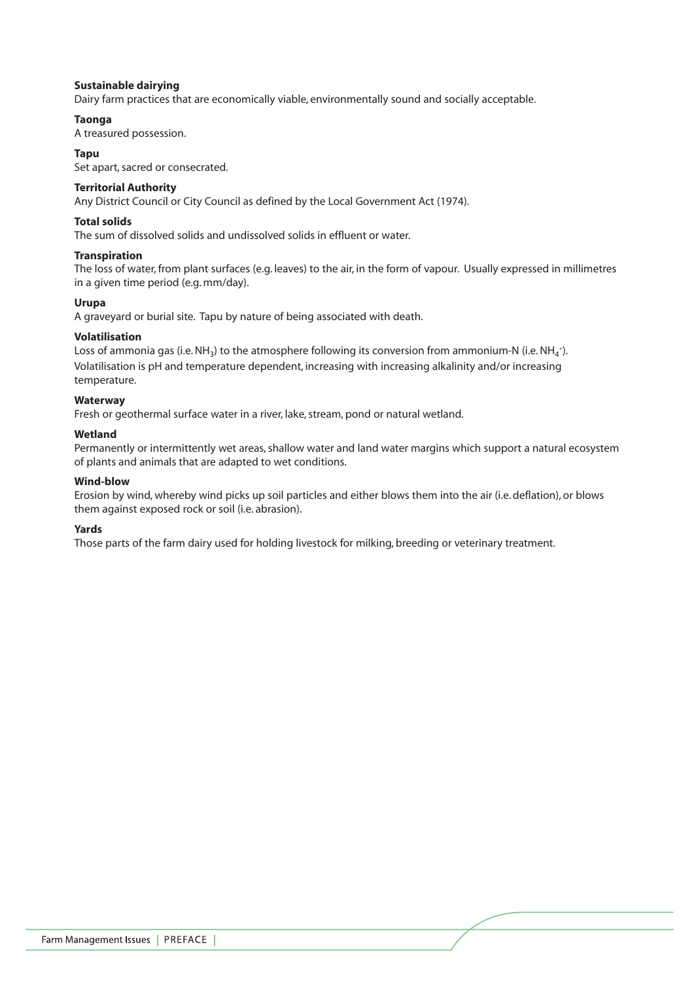## **Sustainable dairying**

Dairy farm practices that are economically viable, environmentally sound and socially acceptable.

# **Taonga**

A treasured possession.

## **Tapu**

Set apart, sacred or consecrated.

## **Territorial Authority**

Any District Council or City Council as defined by the Local Government Act (1974).

## **Total solids**

The sum of dissolved solids and undissolved solids in effluent or water.

## **Transpiration**

The loss of water, from plant surfaces (e.g. leaves) to the air, in the form of vapour. Usually expressed in millimetres in a given time period (e.g. mm/day).

# **Urupa**

A graveyard or burial site. Tapu by nature of being associated with death.

# **Volatilisation**

Loss of ammonia gas (i.e. NH<sub>3</sub>) to the atmosphere following its conversion from ammonium-N (i.e. NH<sub>4</sub>+). Volatilisation is pH and temperature dependent, increasing with increasing alkalinity and/or increasing temperature.

## **Waterway**

Fresh or geothermal surface water in a river, lake, stream, pond or natural wetland.

## **Wetland**

Permanently or intermittently wet areas, shallow water and land water margins which support a natural ecosystem of plants and animals that are adapted to wet conditions.

# **Wind-blow**

Erosion by wind, whereby wind picks up soil particles and either blows them into the air (i.e. deflation), or blows them against exposed rock or soil (i.e. abrasion).

## **Yards**

Those parts of the farm dairy used for holding livestock for milking, breeding or veterinary treatment.